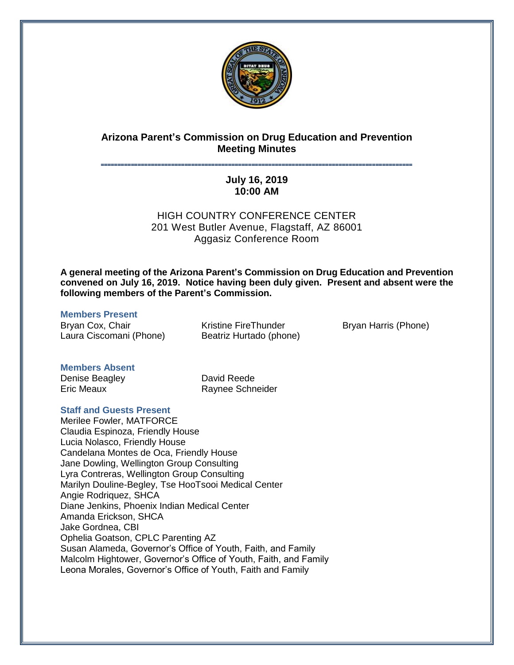

# **Arizona Parent's Commission on Drug Education and Prevention Meeting Minutes**

# **˭˭˭˭˭˭˭˭˭˭˭˭˭˭˭˭˭˭˭˭˭˭˭˭˭˭˭˭˭˭˭˭˭˭˭˭˭˭˭˭˭˭˭˭˭˭˭˭˭˭˭˭˭˭˭˭˭˭˭˭˭˭˭˭˭˭˭˭˭˭˭˭˭˭˭˭˭˭˭˭˭˭˭˭˭˭˭˭˭˭˭˭˭ July 16, 2019 10:00 AM**

HIGH COUNTRY CONFERENCE CENTER 201 West Butler Avenue, Flagstaff, AZ 86001 Aggasiz Conference Room

**A general meeting of the Arizona Parent's Commission on Drug Education and Prevention convened on July 16, 2019. Notice having been duly given. Present and absent were the following members of the Parent's Commission.**

#### **Members Present**

Bryan Cox, Chair Laura Ciscomani (Phone) Kristine FireThunder Beatriz Hurtado (phone) Bryan Harris (Phone)

#### **Members Absent**

Denise Beagley Eric Meaux

David Reede Raynee Schneider

# **Staff and Guests Present**

Merilee Fowler, MATFORCE Claudia Espinoza, Friendly House Lucia Nolasco, Friendly House Candelana Montes de Oca, Friendly House Jane Dowling, Wellington Group Consulting Lyra Contreras, Wellington Group Consulting Marilyn Douline-Begley, Tse HooTsooi Medical Center Angie Rodriquez, SHCA Diane Jenkins, Phoenix Indian Medical Center Amanda Erickson, SHCA Jake Gordnea, CBI Ophelia Goatson, CPLC Parenting AZ Susan Alameda, Governor's Office of Youth, Faith, and Family Malcolm Hightower, Governor's Office of Youth, Faith, and Family Leona Morales, Governor's Office of Youth, Faith and Family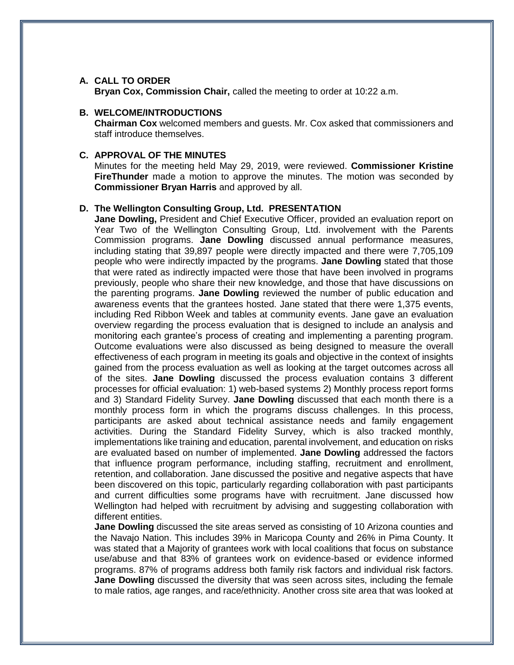#### **A. CALL TO ORDER**

**Bryan Cox, Commission Chair,** called the meeting to order at 10:22 a.m.

#### **B. WELCOME/INTRODUCTIONS**

**Chairman Cox** welcomed members and guests. Mr. Cox asked that commissioners and staff introduce themselves.

#### **C. APPROVAL OF THE MINUTES**

Minutes for the meeting held May 29, 2019, were reviewed. **Commissioner Kristine FireThunder** made a motion to approve the minutes. The motion was seconded by **Commissioner Bryan Harris** and approved by all.

#### **D. The Wellington Consulting Group, Ltd. PRESENTATION**

**Jane Dowling,** President and Chief Executive Officer, provided an evaluation report on Year Two of the Wellington Consulting Group, Ltd. involvement with the Parents Commission programs. **Jane Dowling** discussed annual performance measures, including stating that 39,897 people were directly impacted and there were 7,705,109 people who were indirectly impacted by the programs. **Jane Dowling** stated that those that were rated as indirectly impacted were those that have been involved in programs previously, people who share their new knowledge, and those that have discussions on the parenting programs. **Jane Dowling** reviewed the number of public education and awareness events that the grantees hosted. Jane stated that there were 1,375 events, including Red Ribbon Week and tables at community events. Jane gave an evaluation overview regarding the process evaluation that is designed to include an analysis and monitoring each grantee's process of creating and implementing a parenting program. Outcome evaluations were also discussed as being designed to measure the overall effectiveness of each program in meeting its goals and objective in the context of insights gained from the process evaluation as well as looking at the target outcomes across all of the sites. **Jane Dowling** discussed the process evaluation contains 3 different processes for official evaluation: 1) web-based systems 2) Monthly process report forms and 3) Standard Fidelity Survey. **Jane Dowling** discussed that each month there is a monthly process form in which the programs discuss challenges. In this process, participants are asked about technical assistance needs and family engagement activities. During the Standard Fidelity Survey, which is also tracked monthly, implementations like training and education, parental involvement, and education on risks are evaluated based on number of implemented. **Jane Dowling** addressed the factors that influence program performance, including staffing, recruitment and enrollment, retention, and collaboration. Jane discussed the positive and negative aspects that have been discovered on this topic, particularly regarding collaboration with past participants and current difficulties some programs have with recruitment. Jane discussed how Wellington had helped with recruitment by advising and suggesting collaboration with different entities.

**Jane Dowling** discussed the site areas served as consisting of 10 Arizona counties and the Navajo Nation. This includes 39% in Maricopa County and 26% in Pima County. It was stated that a Majority of grantees work with local coalitions that focus on substance use/abuse and that 83% of grantees work on evidence-based or evidence informed programs. 87% of programs address both family risk factors and individual risk factors. **Jane Dowling** discussed the diversity that was seen across sites, including the female to male ratios, age ranges, and race/ethnicity. Another cross site area that was looked at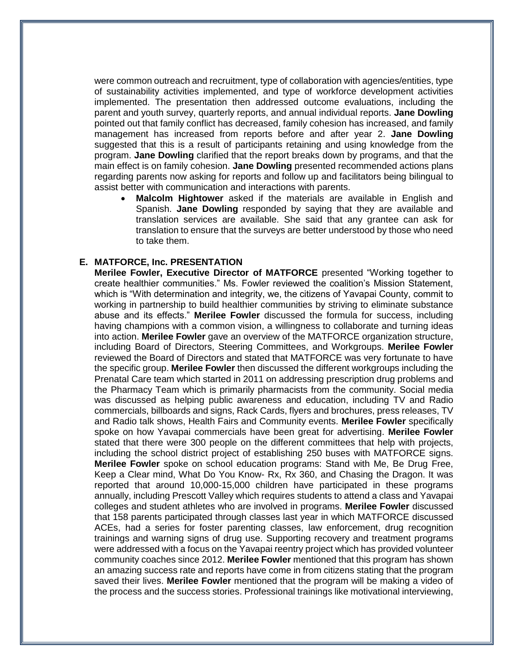were common outreach and recruitment, type of collaboration with agencies/entities, type of sustainability activities implemented, and type of workforce development activities implemented. The presentation then addressed outcome evaluations, including the parent and youth survey, quarterly reports, and annual individual reports. **Jane Dowling** pointed out that family conflict has decreased, family cohesion has increased, and family management has increased from reports before and after year 2. **Jane Dowling** suggested that this is a result of participants retaining and using knowledge from the program. **Jane Dowling** clarified that the report breaks down by programs, and that the main effect is on family cohesion. **Jane Dowling** presented recommended actions plans regarding parents now asking for reports and follow up and facilitators being bilingual to assist better with communication and interactions with parents.

 **Malcolm Hightower** asked if the materials are available in English and Spanish. **Jane Dowling** responded by saying that they are available and translation services are available. She said that any grantee can ask for translation to ensure that the surveys are better understood by those who need to take them.

#### **E. MATFORCE, Inc. PRESENTATION**

**Merilee Fowler, Executive Director of MATFORCE** presented "Working together to create healthier communities." Ms. Fowler reviewed the coalition's Mission Statement, which is "With determination and integrity, we, the citizens of Yavapai County, commit to working in partnership to build healthier communities by striving to eliminate substance abuse and its effects." **Merilee Fowler** discussed the formula for success, including having champions with a common vision, a willingness to collaborate and turning ideas into action. **Merilee Fowler** gave an overview of the MATFORCE organization structure, including Board of Directors, Steering Committees, and Workgroups. **Merilee Fowler** reviewed the Board of Directors and stated that MATFORCE was very fortunate to have the specific group. **Merilee Fowler** then discussed the different workgroups including the Prenatal Care team which started in 2011 on addressing prescription drug problems and the Pharmacy Team which is primarily pharmacists from the community. Social media was discussed as helping public awareness and education, including TV and Radio commercials, billboards and signs, Rack Cards, flyers and brochures, press releases, TV and Radio talk shows, Health Fairs and Community events. **Merilee Fowler** specifically spoke on how Yavapai commercials have been great for advertising. **Merilee Fowler** stated that there were 300 people on the different committees that help with projects, including the school district project of establishing 250 buses with MATFORCE signs. **Merilee Fowler** spoke on school education programs: Stand with Me, Be Drug Free, Keep a Clear mind, What Do You Know- Rx, Rx 360, and Chasing the Dragon. It was reported that around 10,000-15,000 children have participated in these programs annually, including Prescott Valley which requires students to attend a class and Yavapai colleges and student athletes who are involved in programs. **Merilee Fowler** discussed that 158 parents participated through classes last year in which MATFORCE discussed ACEs, had a series for foster parenting classes, law enforcement, drug recognition trainings and warning signs of drug use. Supporting recovery and treatment programs were addressed with a focus on the Yavapai reentry project which has provided volunteer community coaches since 2012. **Merilee Fowler** mentioned that this program has shown an amazing success rate and reports have come in from citizens stating that the program saved their lives. **Merilee Fowler** mentioned that the program will be making a video of the process and the success stories. Professional trainings like motivational interviewing,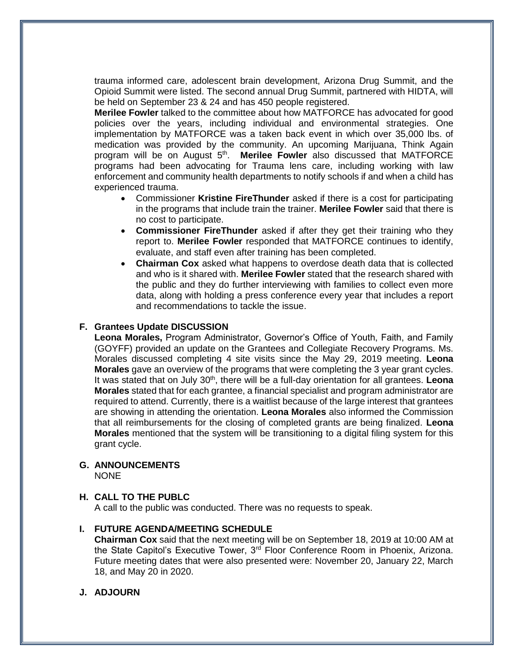trauma informed care, adolescent brain development, Arizona Drug Summit, and the Opioid Summit were listed. The second annual Drug Summit, partnered with HIDTA, will be held on September 23 & 24 and has 450 people registered.

**Merilee Fowler** talked to the committee about how MATFORCE has advocated for good policies over the years, including individual and environmental strategies. One implementation by MATFORCE was a taken back event in which over 35,000 lbs. of medication was provided by the community. An upcoming Marijuana, Think Again program will be on August 5<sup>th</sup>. Merilee Fowler also discussed that MATFORCE programs had been advocating for Trauma lens care, including working with law enforcement and community health departments to notify schools if and when a child has experienced trauma.

- Commissioner **Kristine FireThunder** asked if there is a cost for participating in the programs that include train the trainer. **Merilee Fowler** said that there is no cost to participate.
- **Commissioner FireThunder** asked if after they get their training who they report to. **Merilee Fowler** responded that MATFORCE continues to identify, evaluate, and staff even after training has been completed.
- **Chairman Cox** asked what happens to overdose death data that is collected and who is it shared with. **Merilee Fowler** stated that the research shared with the public and they do further interviewing with families to collect even more data, along with holding a press conference every year that includes a report and recommendations to tackle the issue.

# **F. Grantees Update DISCUSSION**

**Leona Morales,** Program Administrator, Governor's Office of Youth, Faith, and Family (GOYFF) provided an update on the Grantees and Collegiate Recovery Programs. Ms. Morales discussed completing 4 site visits since the May 29, 2019 meeting. **Leona Morales** gave an overview of the programs that were completing the 3 year grant cycles. It was stated that on July 30th, there will be a full-day orientation for all grantees. **Leona Morales** stated that for each grantee, a financial specialist and program administrator are required to attend. Currently, there is a waitlist because of the large interest that grantees are showing in attending the orientation. **Leona Morales** also informed the Commission that all reimbursements for the closing of completed grants are being finalized. **Leona Morales** mentioned that the system will be transitioning to a digital filing system for this grant cycle.

# **G. ANNOUNCEMENTS**

NONE

# **H. CALL TO THE PUBLC**

A call to the public was conducted. There was no requests to speak.

# **I. FUTURE AGENDA/MEETING SCHEDULE**

**Chairman Cox** said that the next meeting will be on September 18, 2019 at 10:00 AM at the State Capitol's Executive Tower, 3<sup>rd</sup> Floor Conference Room in Phoenix, Arizona. Future meeting dates that were also presented were: November 20, January 22, March 18, and May 20 in 2020.

# **J. ADJOURN**